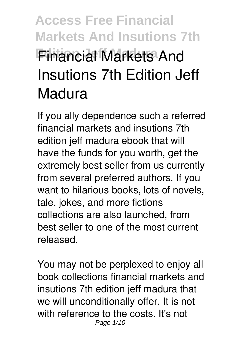# **Access Free Financial Markets And Insutions 7th Edition Jeff Madura Financial Markets And Insutions 7th Edition Jeff Madura**

If you ally dependence such a referred **financial markets and insutions 7th edition jeff madura** ebook that will have the funds for you worth, get the extremely best seller from us currently from several preferred authors. If you want to hilarious books, lots of novels, tale, jokes, and more fictions collections are also launched, from best seller to one of the most current released.

You may not be perplexed to enjoy all book collections financial markets and insutions 7th edition jeff madura that we will unconditionally offer. It is not with reference to the costs. It's not Page 1/10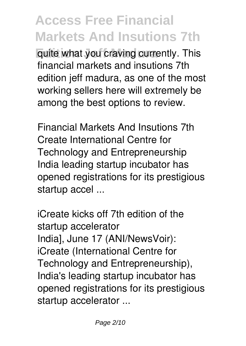**Guite what you craving currently. This** financial markets and insutions 7th edition jeff madura, as one of the most working sellers here will extremely be among the best options to review.

*Financial Markets And Insutions 7th* Create International Centre for Technology and Entrepreneurship India leading startup incubator has opened registrations for its prestigious startup accel ...

*iCreate kicks off 7th edition of the startup accelerator* India], June 17 (ANI/NewsVoir): iCreate (International Centre for Technology and Entrepreneurship), India's leading startup incubator has opened registrations for its prestigious startup accelerator ...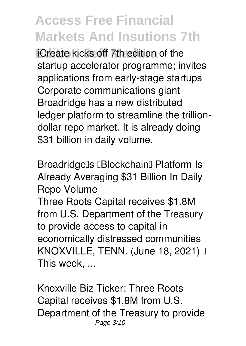**Edition Jeff Madura** *iCreate kicks off 7th edition of the startup accelerator programme; invites applications from early-stage startups* Corporate communications giant Broadridge has a new distributed ledger platform to streamline the trilliondollar repo market. It is already doing \$31 billion in daily volume.

*Broadridge's 'Blockchain' Platform Is Already Averaging \$31 Billion In Daily Repo Volume*

Three Roots Capital receives \$1.8M from U.S. Department of the Treasury to provide access to capital in economically distressed communities KNOXVILLE, TENN. (June 18, 2021) I This week, ...

*Knoxville Biz Ticker: Three Roots Capital receives \$1.8M from U.S. Department of the Treasury to provide* Page 3/10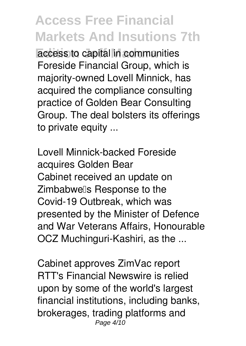**Edition Jeff Madura** *access to capital in communities* Foreside Financial Group, which is majority-owned Lovell Minnick, has acquired the compliance consulting practice of Golden Bear Consulting Group. The deal bolsters its offerings to private equity ...

*Lovell Minnick-backed Foreside acquires Golden Bear* Cabinet received an update on Zimbabwells Response to the Covid-19 Outbreak, which was presented by the Minister of Defence and War Veterans Affairs, Honourable OCZ Muchinguri-Kashiri, as the ...

*Cabinet approves ZimVac report* RTT's Financial Newswire is relied upon by some of the world's largest financial institutions, including banks, brokerages, trading platforms and Page 4/10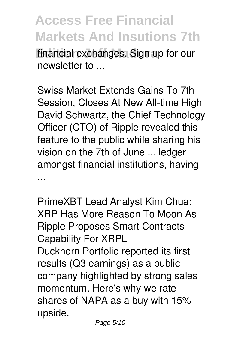**Access Free Financial Markets And Insutions 7th** financial exchanges. Sign up for our newsletter to ...

*Swiss Market Extends Gains To 7th Session, Closes At New All-time High* David Schwartz, the Chief Technology Officer (CTO) of Ripple revealed this feature to the public while sharing his vision on the 7th of June ... ledger amongst financial institutions, having ...

*PrimeXBT Lead Analyst Kim Chua: XRP Has More Reason To Moon As Ripple Proposes Smart Contracts Capability For XRPL* Duckhorn Portfolio reported its first results (Q3 earnings) as a public company highlighted by strong sales momentum. Here's why we rate shares of NAPA as a buy with 15% upside.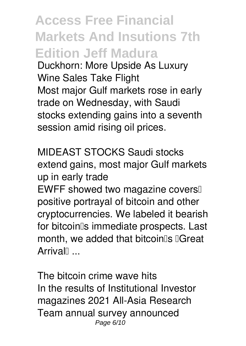**Access Free Financial Markets And Insutions 7th Edition Jeff Madura** *Duckhorn: More Upside As Luxury Wine Sales Take Flight* Most major Gulf markets rose in early trade on Wednesday, with Saudi stocks extending gains into a seventh session amid rising oil prices.

*MIDEAST STOCKS Saudi stocks extend gains, most major Gulf markets up in early trade*

EWFF showed two magazine covers positive portrayal of bitcoin and other cryptocurrencies. We labeled it bearish for bitcoin<sup>®</sup>s immediate prospects. Last month, we added that bitcoin<sup>®</sup>s <sup>[</sup>Great Arrival<sup>[1</sup>...

*The bitcoin crime wave hits* In the results of Institutional Investor magazines 2021 All-Asia Research Team annual survey announced Page 6/10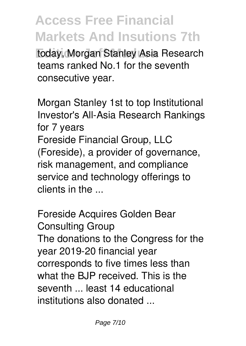**Edition Jeff Madura** today, Morgan Stanley Asia Research teams ranked No.1 for the seventh consecutive year.

*Morgan Stanley 1st to top Institutional Investor's All-Asia Research Rankings for 7 years* Foreside Financial Group, LLC (Foreside), a provider of governance, risk management, and compliance service and technology offerings to clients in the ...

*Foreside Acquires Golden Bear Consulting Group* The donations to the Congress for the year 2019-20 financial year corresponds to five times less than what the BJP received. This is the seventh ... least 14 educational institutions also donated ...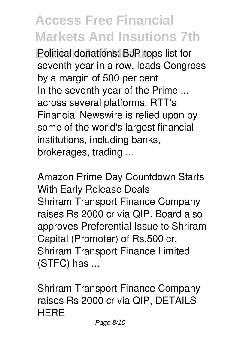**Political donations: BJP tops list for** *seventh year in a row, leads Congress by a margin of 500 per cent* In the seventh year of the Prime ... across several platforms. RTT's Financial Newswire is relied upon by some of the world's largest financial institutions, including banks, brokerages, trading ...

*Amazon Prime Day Countdown Starts With Early Release Deals* Shriram Transport Finance Company raises Rs 2000 cr via QIP. Board also approves Preferential Issue to Shriram Capital (Promoter) of Rs.500 cr. Shriram Transport Finance Limited (STFC) has ...

*Shriram Transport Finance Company raises Rs 2000 cr via QIP, DETAILS HERE*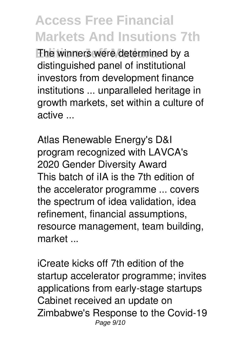The winners were determined by a distinguished panel of institutional investors from development finance institutions ... unparalleled heritage in growth markets, set within a culture of active ...

*Atlas Renewable Energy's D&I program recognized with LAVCA's 2020 Gender Diversity Award* This batch of iIA is the 7th edition of the accelerator programme ... covers the spectrum of idea validation, idea refinement, financial assumptions, resource management, team building, market ...

*iCreate kicks off 7th edition of the startup accelerator programme; invites applications from early-stage startups* Cabinet received an update on Zimbabwe's Response to the Covid-19 Page 9/10